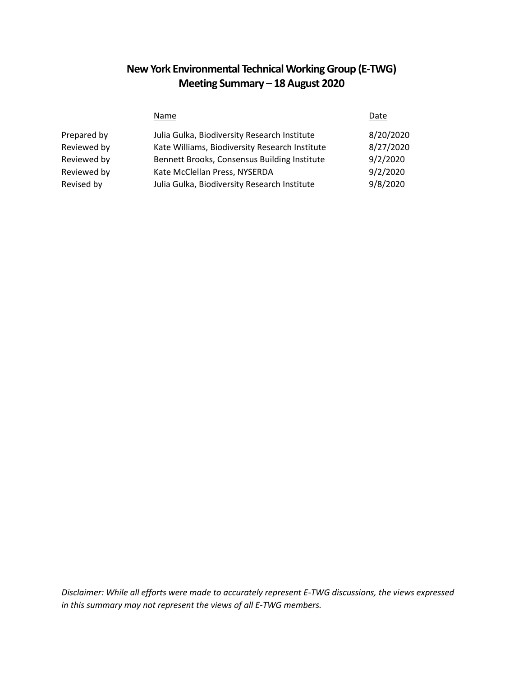# **New York Environmental Technical Working Group (E-TWG) Meeting Summary – 18 August 2020**

|             | Name                                           | Date      |
|-------------|------------------------------------------------|-----------|
| Prepared by | Julia Gulka, Biodiversity Research Institute   | 8/20/2020 |
| Reviewed by | Kate Williams, Biodiversity Research Institute | 8/27/2020 |
| Reviewed by | Bennett Brooks, Consensus Building Institute   | 9/2/2020  |
| Reviewed by | Kate McClellan Press, NYSERDA                  | 9/2/2020  |
| Revised by  | Julia Gulka, Biodiversity Research Institute   | 9/8/2020  |

*Disclaimer: While all efforts were made to accurately represent E-TWG discussions, the views expressed in this summary may not represent the views of all E-TWG members.*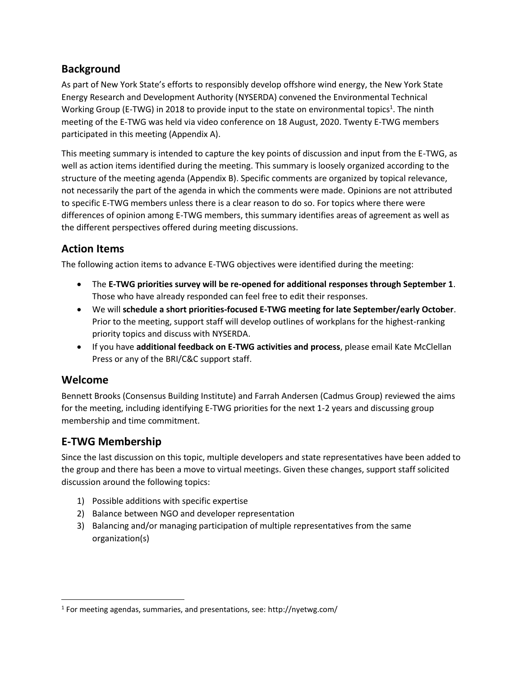# **Background**

As part of New York State's efforts to responsibly develop offshore wind energy, the New York State Energy Research and Development Authority (NYSERDA) convened the Environmental Technical Working Group (E-TWG) in 2018 to provide input to the state on environmental topics<sup>1</sup>. The ninth meeting of the E-TWG was held via video conference on 18 August, 2020. Twenty E-TWG members participated in this meeting (Appendix A).

This meeting summary is intended to capture the key points of discussion and input from the E-TWG, as well as action items identified during the meeting. This summary is loosely organized according to the structure of the meeting agenda (Appendix B). Specific comments are organized by topical relevance, not necessarily the part of the agenda in which the comments were made. Opinions are not attributed to specific E-TWG members unless there is a clear reason to do so. For topics where there were differences of opinion among E-TWG members, this summary identifies areas of agreement as well as the different perspectives offered during meeting discussions.

# **Action Items**

The following action items to advance E-TWG objectives were identified during the meeting:

- The **E-TWG priorities survey will be re-opened for additional responses through September 1**. Those who have already responded can feel free to edit their responses.
- We will **schedule a short priorities-focused E-TWG meeting for late September/early October**. Prior to the meeting, support staff will develop outlines of workplans for the highest-ranking priority topics and discuss with NYSERDA.
- If you have **additional feedback on E-TWG activities and process**, please email Kate McClellan Press or any of the BRI/C&C support staff.

# **Welcome**

 $\overline{\phantom{a}}$ 

Bennett Brooks (Consensus Building Institute) and Farrah Andersen (Cadmus Group) reviewed the aims for the meeting, including identifying E-TWG priorities for the next 1-2 years and discussing group membership and time commitment.

# **E-TWG Membership**

Since the last discussion on this topic, multiple developers and state representatives have been added to the group and there has been a move to virtual meetings. Given these changes, support staff solicited discussion around the following topics:

- 1) Possible additions with specific expertise
- 2) Balance between NGO and developer representation
- 3) Balancing and/or managing participation of multiple representatives from the same organization(s)

<sup>&</sup>lt;sup>1</sup> For meeting agendas, summaries, and presentations, see: http://nyetwg.com/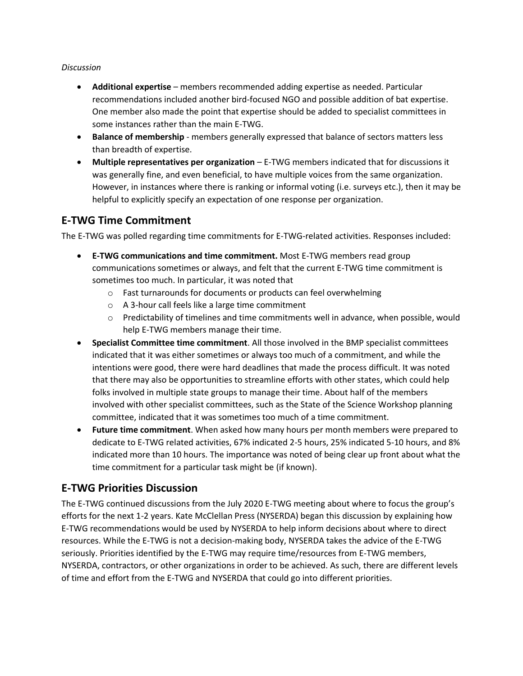#### *Discussion*

- **Additional expertise** members recommended adding expertise as needed. Particular recommendations included another bird-focused NGO and possible addition of bat expertise. One member also made the point that expertise should be added to specialist committees in some instances rather than the main E-TWG.
- **Balance of membership**  members generally expressed that balance of sectors matters less than breadth of expertise.
- **Multiple representatives per organization** E-TWG members indicated that for discussions it was generally fine, and even beneficial, to have multiple voices from the same organization. However, in instances where there is ranking or informal voting (i.e. surveys etc.), then it may be helpful to explicitly specify an expectation of one response per organization.

# **E-TWG Time Commitment**

The E-TWG was polled regarding time commitments for E-TWG-related activities. Responses included:

- **E-TWG communications and time commitment.** Most E-TWG members read group communications sometimes or always, and felt that the current E-TWG time commitment is sometimes too much. In particular, it was noted that
	- o Fast turnarounds for documents or products can feel overwhelming
	- o A 3-hour call feels like a large time commitment
	- $\circ$  Predictability of timelines and time commitments well in advance, when possible, would help E-TWG members manage their time.
- **Specialist Committee time commitment**. All those involved in the BMP specialist committees indicated that it was either sometimes or always too much of a commitment, and while the intentions were good, there were hard deadlines that made the process difficult. It was noted that there may also be opportunities to streamline efforts with other states, which could help folks involved in multiple state groups to manage their time. About half of the members involved with other specialist committees, such as the State of the Science Workshop planning committee, indicated that it was sometimes too much of a time commitment.
- **Future time commitment**. When asked how many hours per month members were prepared to dedicate to E-TWG related activities, 67% indicated 2-5 hours, 25% indicated 5-10 hours, and 8% indicated more than 10 hours. The importance was noted of being clear up front about what the time commitment for a particular task might be (if known).

## **E-TWG Priorities Discussion**

The E-TWG continued discussions from the July 2020 E-TWG meeting about where to focus the group's efforts for the next 1-2 years. Kate McClellan Press (NYSERDA) began this discussion by explaining how E-TWG recommendations would be used by NYSERDA to help inform decisions about where to direct resources. While the E-TWG is not a decision-making body, NYSERDA takes the advice of the E-TWG seriously. Priorities identified by the E-TWG may require time/resources from E-TWG members, NYSERDA, contractors, or other organizations in order to be achieved. As such, there are different levels of time and effort from the E-TWG and NYSERDA that could go into different priorities.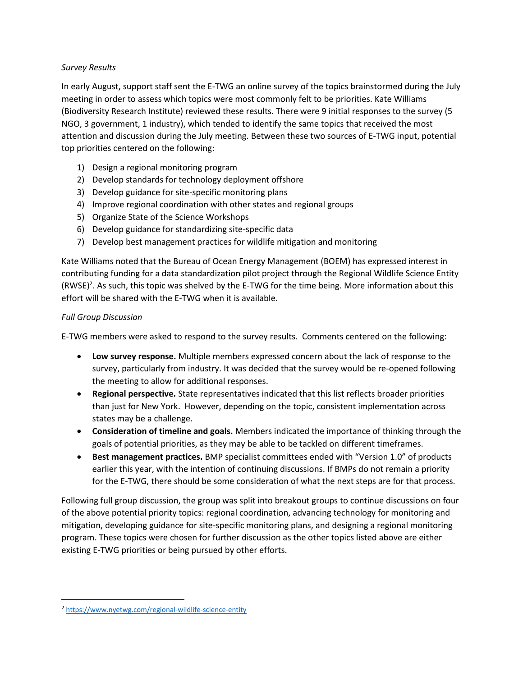### *Survey Results*

In early August, support staff sent the E-TWG an online survey of the topics brainstormed during the July meeting in order to assess which topics were most commonly felt to be priorities. Kate Williams (Biodiversity Research Institute) reviewed these results. There were 9 initial responses to the survey (5 NGO, 3 government, 1 industry), which tended to identify the same topics that received the most attention and discussion during the July meeting. Between these two sources of E-TWG input, potential top priorities centered on the following:

- 1) Design a regional monitoring program
- 2) Develop standards for technology deployment offshore
- 3) Develop guidance for site-specific monitoring plans
- 4) Improve regional coordination with other states and regional groups
- 5) Organize State of the Science Workshops
- 6) Develop guidance for standardizing site-specific data
- 7) Develop best management practices for wildlife mitigation and monitoring

Kate Williams noted that the Bureau of Ocean Energy Management (BOEM) has expressed interest in contributing funding for a data standardization pilot project through the Regional Wildlife Science Entity (RWSE)<sup>2</sup>. As such, this topic was shelved by the E-TWG for the time being. More information about this effort will be shared with the E-TWG when it is available.

### *Full Group Discussion*

E-TWG members were asked to respond to the survey results. Comments centered on the following:

- **Low survey response.** Multiple members expressed concern about the lack of response to the survey, particularly from industry. It was decided that the survey would be re-opened following the meeting to allow for additional responses.
- **Regional perspective.** State representatives indicated that this list reflects broader priorities than just for New York. However, depending on the topic, consistent implementation across states may be a challenge.
- **Consideration of timeline and goals.** Members indicated the importance of thinking through the goals of potential priorities, as they may be able to be tackled on different timeframes.
- **Best management practices.** BMP specialist committees ended with "Version 1.0" of products earlier this year, with the intention of continuing discussions. If BMPs do not remain a priority for the E-TWG, there should be some consideration of what the next steps are for that process.

Following full group discussion, the group was split into breakout groups to continue discussions on four of the above potential priority topics: regional coordination, advancing technology for monitoring and mitigation, developing guidance for site-specific monitoring plans, and designing a regional monitoring program. These topics were chosen for further discussion as the other topics listed above are either existing E-TWG priorities or being pursued by other efforts.

 $\overline{\phantom{a}}$ 

<sup>2</sup> <https://www.nyetwg.com/regional-wildlife-science-entity>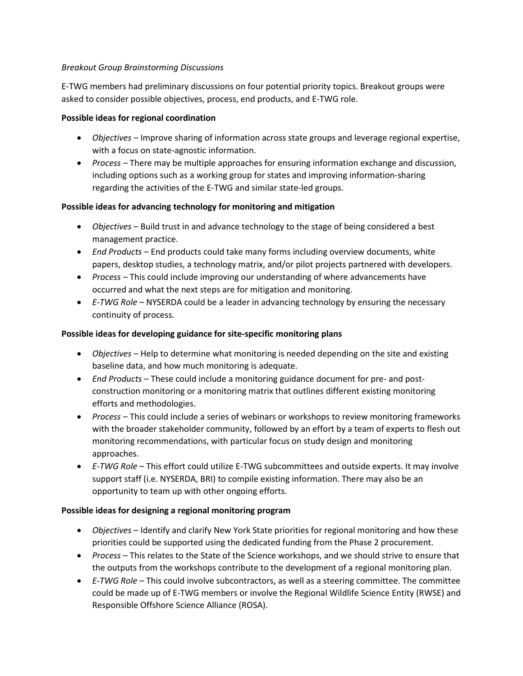### *Breakout Group Brainstorming Discussions*

E-TWG members had preliminary discussions on four potential priority topics. Breakout groups were asked to consider possible objectives, process, end products, and E-TWG role.

### **Possible ideas for regional coordination**

- *Objectives –* Improve sharing of information across state groups and leverage regional expertise, with a focus on state-agnostic information.
- *Process –* There may be multiple approaches for ensuring information exchange and discussion, including options such as a working group for states and improving information-sharing regarding the activities of the E-TWG and similar state-led groups.

## **Possible ideas for advancing technology for monitoring and mitigation**

- *Objectives* Build trust in and advance technology to the stage of being considered a best management practice.
- *End Products* End products could take many forms including overview documents, white papers, desktop studies, a technology matrix, and/or pilot projects partnered with developers.
- *Process –* This could include improving our understanding of where advancements have occurred and what the next steps are for mitigation and monitoring.
- *E-TWG Role* NYSERDA could be a leader in advancing technology by ensuring the necessary continuity of process.

## **Possible ideas for developing guidance for site-specific monitoring plans**

- *Objectives* Help to determine what monitoring is needed depending on the site and existing baseline data, and how much monitoring is adequate.
- *End Products*  These could include a monitoring guidance document for pre- and postconstruction monitoring or a monitoring matrix that outlines different existing monitoring efforts and methodologies.
- *Process* This could include a series of webinars or workshops to review monitoring frameworks with the broader stakeholder community, followed by an effort by a team of experts to flesh out monitoring recommendations, with particular focus on study design and monitoring approaches.
- *E-TWG Role* This effort could utilize E-TWG subcommittees and outside experts. It may involve support staff (i.e. NYSERDA, BRI) to compile existing information. There may also be an opportunity to team up with other ongoing efforts.

## **Possible ideas for designing a regional monitoring program**

- *Objectives* Identify and clarify New York State priorities for regional monitoring and how these priorities could be supported using the dedicated funding from the Phase 2 procurement.
- *Process* This relates to the State of the Science workshops, and we should strive to ensure that the outputs from the workshops contribute to the development of a regional monitoring plan.
- *E-TWG Role* This could involve subcontractors, as well as a steering committee. The committee could be made up of E-TWG members or involve the Regional Wildlife Science Entity (RWSE) and Responsible Offshore Science Alliance (ROSA).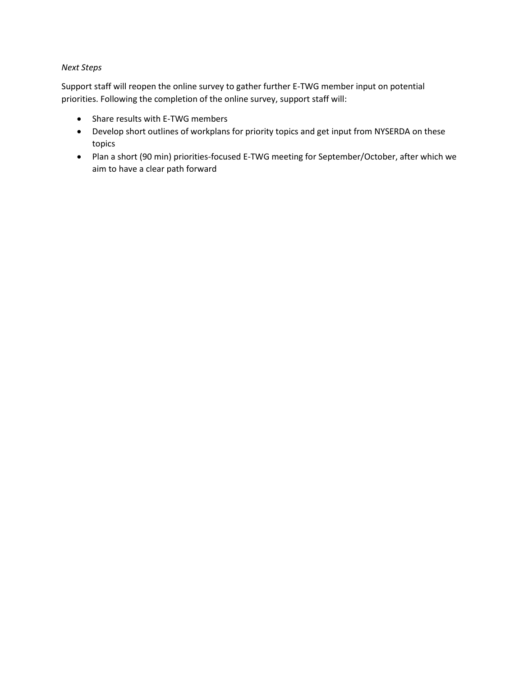### *Next Steps*

Support staff will reopen the online survey to gather further E-TWG member input on potential priorities. Following the completion of the online survey, support staff will:

- Share results with E-TWG members
- Develop short outlines of workplans for priority topics and get input from NYSERDA on these topics
- Plan a short (90 min) priorities-focused E-TWG meeting for September/October, after which we aim to have a clear path forward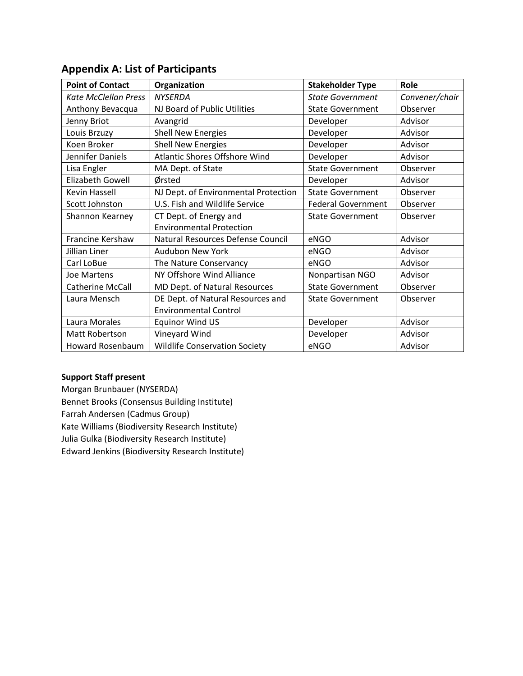| <b>Point of Contact</b>     | Organization                         | <b>Stakeholder Type</b>   | Role           |
|-----------------------------|--------------------------------------|---------------------------|----------------|
| <b>Kate McClellan Press</b> | <b>NYSERDA</b>                       | <b>State Government</b>   | Convener/chair |
| Anthony Bevacqua            | NJ Board of Public Utilities         | <b>State Government</b>   | Observer       |
| Jenny Briot                 | Avangrid                             | Developer                 | Advisor        |
| Louis Brzuzy                | <b>Shell New Energies</b>            | Developer                 | Advisor        |
| Koen Broker                 | <b>Shell New Energies</b>            | Developer                 | Advisor        |
| Jennifer Daniels            | <b>Atlantic Shores Offshore Wind</b> | Developer                 | Advisor        |
| Lisa Engler                 | MA Dept. of State                    | <b>State Government</b>   | Observer       |
| Elizabeth Gowell            | Ørsted                               | Developer                 | Advisor        |
| Kevin Hassell               | NJ Dept. of Environmental Protection | <b>State Government</b>   | Observer       |
| Scott Johnston              | U.S. Fish and Wildlife Service       | <b>Federal Government</b> | Observer       |
| Shannon Kearney             | CT Dept. of Energy and               | <b>State Government</b>   | Observer       |
|                             | <b>Environmental Protection</b>      |                           |                |
| Francine Kershaw            | Natural Resources Defense Council    | eNGO                      | Advisor        |
| Jillian Liner               | Audubon New York                     | eNGO                      | Advisor        |
| Carl LoBue                  | The Nature Conservancy               | eNGO                      | Advisor        |
| <b>Joe Martens</b>          | NY Offshore Wind Alliance            | Nonpartisan NGO           | Advisor        |
| <b>Catherine McCall</b>     | MD Dept. of Natural Resources        | <b>State Government</b>   | Observer       |
| Laura Mensch                | DE Dept. of Natural Resources and    | <b>State Government</b>   | Observer       |
|                             | <b>Environmental Control</b>         |                           |                |
| Laura Morales               | <b>Equinor Wind US</b>               | Developer                 | Advisor        |
| Matt Robertson              | Vineyard Wind                        | Developer                 | Advisor        |
| Howard Rosenbaum            | <b>Wildlife Conservation Society</b> | eNGO                      | Advisor        |

# **Appendix A: List of Participants**

## **Support Staff present**

Morgan Brunbauer (NYSERDA) Bennet Brooks (Consensus Building Institute) Farrah Andersen (Cadmus Group) Kate Williams (Biodiversity Research Institute) Julia Gulka (Biodiversity Research Institute) Edward Jenkins (Biodiversity Research Institute)